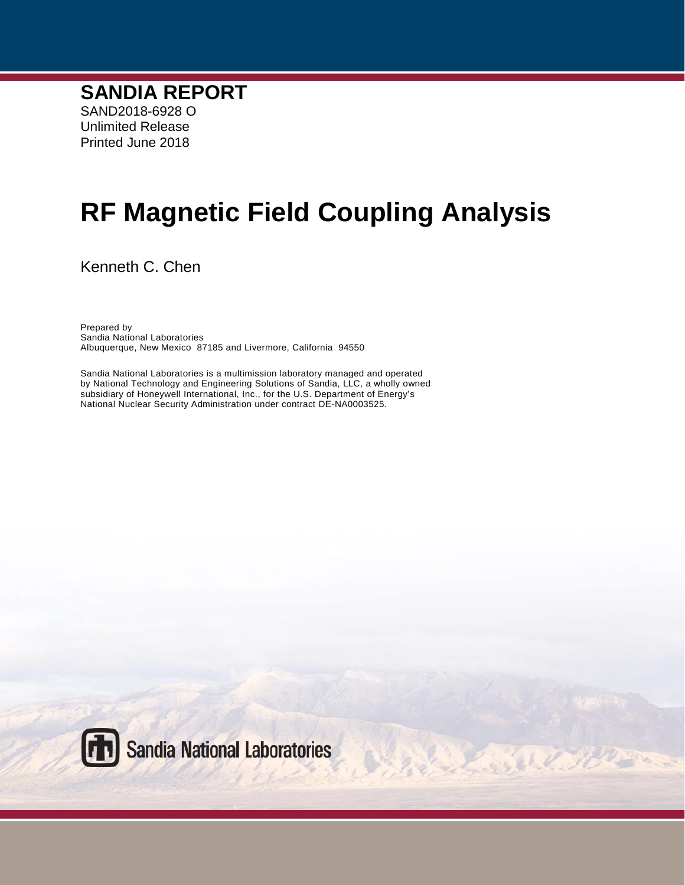# **RF Magnetic Field Coupling Analysis**

BOLLO

Kenneth C. Chen

Prepared by Sandia National Laboratories Albuquerque, New Mexico 87185 and Livermore, California 94550

Sandia National Laboratories is a multimission laboratory managed and operated by National Technology and Engineering Solutions of Sandia, LLC, a wholly owned subsidiary of Honeywell International, Inc., for the U.S. Department of Energy's National Nuclear Security Administration under contract DE-NA0003525.

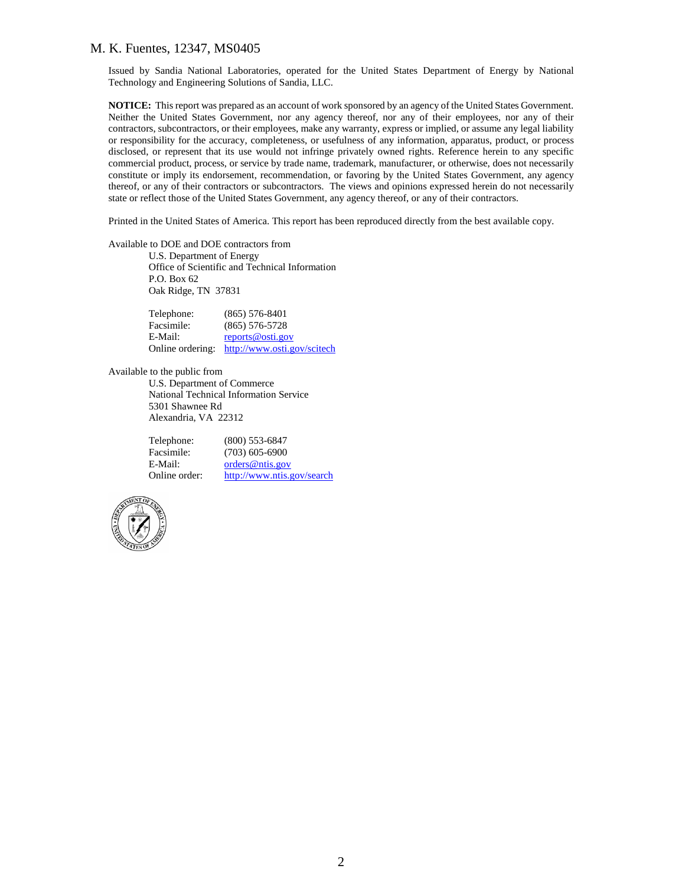Issued by Sandia National Laboratories, operated for the United States Department of Energy by National Technology and Engineering Solutions of Sandia, LLC.

**NOTICE:** This report was prepared as an account of work sponsored by an agency of the United States Government. Neither the United States Government, nor any agency thereof, nor any of their employees, nor any of their contractors, subcontractors, or their employees, make any warranty, express or implied, or assume any legal liability or responsibility for the accuracy, completeness, or usefulness of any information, apparatus, product, or process disclosed, or represent that its use would not infringe privately owned rights. Reference herein to any specific commercial product, process, or service by trade name, trademark, manufacturer, or otherwise, does not necessarily constitute or imply its endorsement, recommendation, or favoring by the United States Government, any agency thereof, or any of their contractors or subcontractors. The views and opinions expressed herein do not necessarily state or reflect those of the United States Government, any agency thereof, or any of their contractors.

Printed in the United States of America. This report has been reproduced directly from the best available copy.

Available to DOE and DOE contractors from

U.S. Department of Energy Office of Scientific and Technical Information P.O. Box 62 Oak Ridge, TN 37831

| Telephone:       | $(865)$ 576-8401            |
|------------------|-----------------------------|
| Facsimile:       | $(865) 576 - 5728$          |
| E-Mail:          | reports@osti.gov            |
| Online ordering: | http://www.osti.gov/scitech |

Available to the public from

U.S. Department of Commerce National Technical Information Service 5301 Shawnee Rd Alexandria, VA 22312

| Telephone:    | $(800)$ 553-6847           |
|---------------|----------------------------|
| Facsimile:    | $(703)$ 605-6900           |
| E-Mail:       | orders@ntis.gov            |
| Online order: | http://www.ntis.gov/search |

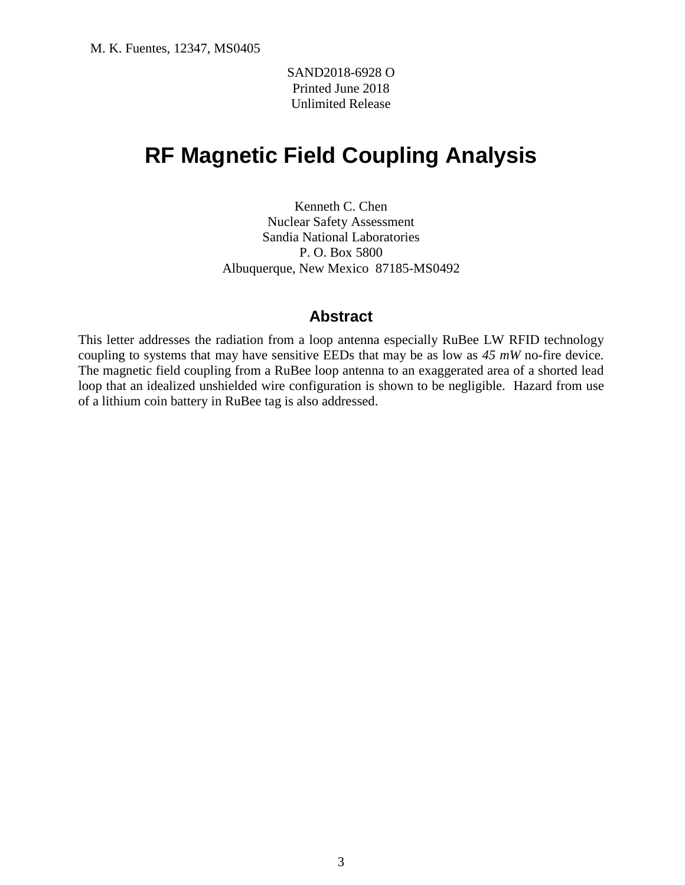SAND2018-6928 O Printed June 2018 Unlimited Release

# **RF Magnetic Field Coupling Analysis**

Kenneth C. Chen Nuclear Safety Assessment Sandia National Laboratories P. O. Box 5800 Albuquerque, New Mexico 87185-MS0492

#### **Abstract**

This letter addresses the radiation from a loop antenna especially RuBee LW RFID technology coupling to systems that may have sensitive EEDs that may be as low as *45 mW* no-fire device. The magnetic field coupling from a RuBee loop antenna to an exaggerated area of a shorted lead loop that an idealized unshielded wire configuration is shown to be negligible. Hazard from use of a lithium coin battery in RuBee tag is also addressed.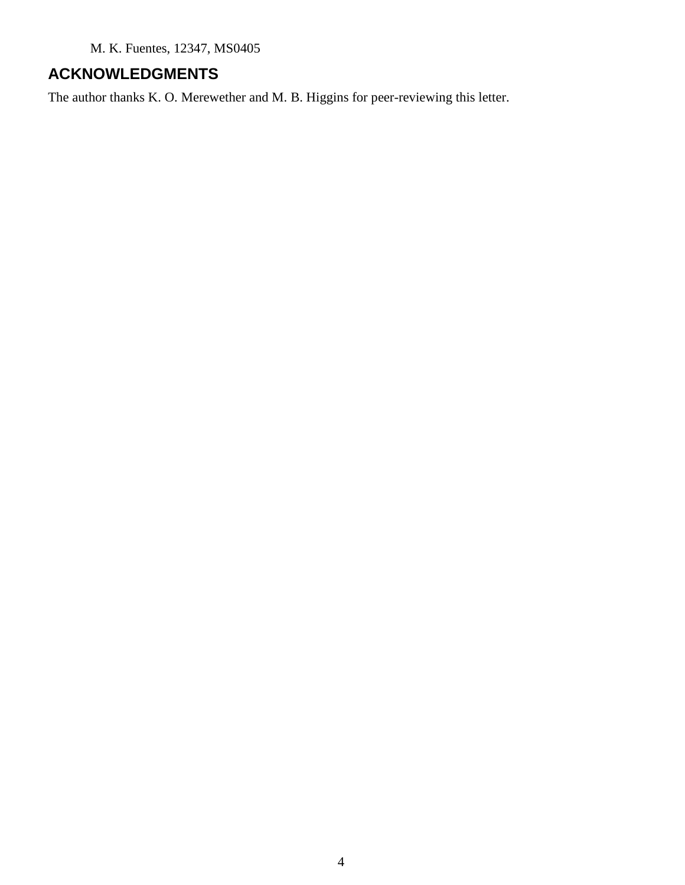# **ACKNOWLEDGMENTS**

The author thanks K. O. Merewether and M. B. Higgins for peer-reviewing this letter.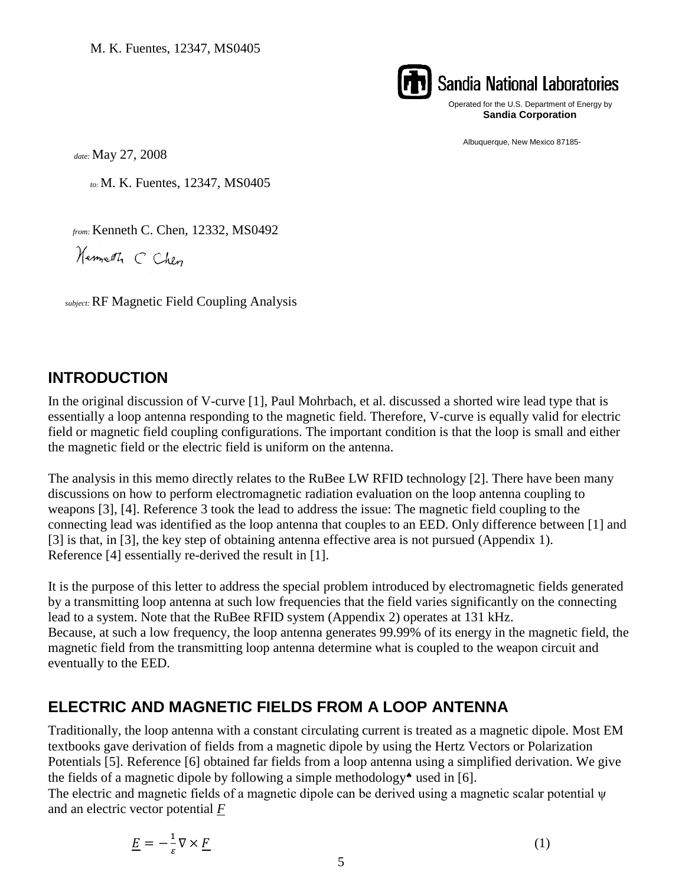

# **Sandia National Laboratories**

Operated for the U.S. Department of Energy by **Sandia Corporation**

Albuquerque, New Mexico 87185-

*date:* May 27, 2008

*to:* M. K. Fuentes, 12347, MS0405

*from:* Kenneth C. Chen, 12332, MS0492

Hermeth CChen

*subject:* RF Magnetic Field Coupling Analysis

# **INTRODUCTION**

In the original discussion of V-curve [1], Paul Mohrbach, et al. discussed a shorted wire lead type that is essentially a loop antenna responding to the magnetic field. Therefore, V-curve is equally valid for electric field or magnetic field coupling configurations. The important condition is that the loop is small and either the magnetic field or the electric field is uniform on the antenna.

The analysis in this memo directly relates to the RuBee LW RFID technology [2]. There have been many discussions on how to perform electromagnetic radiation evaluation on the loop antenna coupling to weapons [3], [4]. Reference 3 took the lead to address the issue: The magnetic field coupling to the connecting lead was identified as the loop antenna that couples to an EED. Only difference between [1] and [3] is that, in [3], the key step of obtaining antenna effective area is not pursued (Appendix 1). Reference [4] essentially re-derived the result in [1].

It is the purpose of this letter to address the special problem introduced by electromagnetic fields generated by a transmitting loop antenna at such low frequencies that the field varies significantly on the connecting lead to a system. Note that the RuBee RFID system (Appendix 2) operates at 131 kHz. Because, at such a low frequency, the loop antenna generates 99.99% of its energy in the magnetic field, the magnetic field from the transmitting loop antenna determine what is coupled to the weapon circuit and eventually to the EED.

# **ELECTRIC AND MAGNETIC FIELDS FROM A LOOP ANTENNA**

Traditionally, the loop antenna with a constant circulating current is treated as a magnetic dipole. Most EM textbooks gave derivation of fields from a magnetic dipole by using the Hertz Vectors or Polarization Potentials [5]. Reference [6] obtained far fields from a loop antenna using a simplified derivation. We give the fields of a magnetic dipole by following a simple methodology<sup> $\bullet$ </sup> used in [6].

The electric and magnetic fields of a magnetic dipole can be derived using a magnetic scalar potential ψ and an electric vector potential *F*

$$
\underline{E} = -\frac{1}{\varepsilon} \nabla \times \underline{F} \tag{1}
$$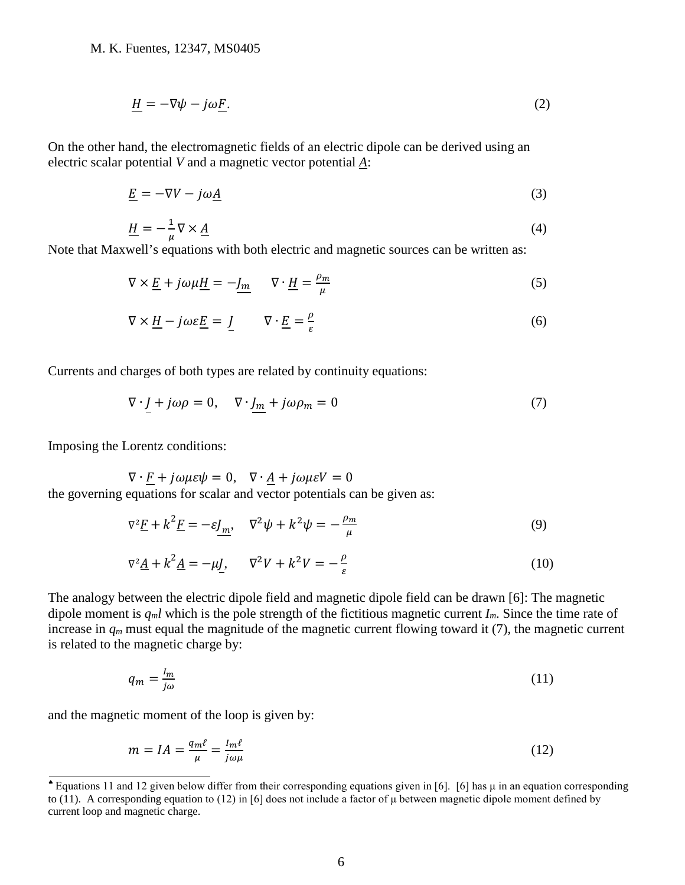$$
\underline{H} = -\nabla\psi - j\omega\underline{F}.\tag{2}
$$

On the other hand, the electromagnetic fields of an electric dipole can be derived using an electric scalar potential *V* and a magnetic vector potential *A*:

$$
\underline{E} = -\nabla V - j\omega \underline{A} \tag{3}
$$

$$
\underline{H} = -\frac{1}{\mu} \nabla \times \underline{A} \tag{4}
$$

Note that Maxwell's equations with both electric and magnetic sources can be written as:

$$
\nabla \times \underline{E} + j\omega\mu \underline{H} = -\underline{J_m} \qquad \nabla \cdot \underline{H} = \frac{\rho_m}{\mu} \tag{5}
$$

$$
\nabla \times \underline{H} - j\omega \varepsilon \underline{E} = \underline{J} \qquad \nabla \cdot \underline{E} = \frac{\rho}{\varepsilon} \tag{6}
$$

Currents and charges of both types are related by continuity equations:

$$
\nabla \cdot \underline{J} + j\omega \rho = 0, \quad \nabla \cdot \underline{J_m} + j\omega \rho_m = 0 \tag{7}
$$

Imposing the Lorentz conditions:

 $\nabla \cdot \underline{F} + j\omega\mu\varepsilon\psi = 0$ ,  $\nabla \cdot \underline{A} + j\omega\mu\varepsilon V = 0$ the governing equations for scalar and vector potentials can be given as:

$$
\nabla^2 \underline{F} + k^2 \underline{F} = -\varepsilon \underline{J_m}, \quad \nabla^2 \psi + k^2 \psi = -\frac{\rho_m}{\mu} \tag{9}
$$

$$
\nabla^2 \underline{A} + k^2 \underline{A} = -\mu \underline{J}, \qquad \nabla^2 V + k^2 V = -\frac{\rho}{\varepsilon}
$$
\n(10)

The analogy between the electric dipole field and magnetic dipole field can be drawn [6]: The magnetic dipole moment is *qml* which is the pole strength of the fictitious magnetic current *Im*. Since the time rate of increase in  $q_m$  must equal the magnitude of the magnetic current flowing toward it (7), the magnetic current is related to the magnetic charge by:

$$
q_m = \frac{l_m}{j\omega} \tag{11}
$$

and the magnetic moment of the loop is given by:

$$
m = IA = \frac{q_m \ell}{\mu} = \frac{I_m \ell}{j \omega \mu} \tag{12}
$$

<span id="page-5-0"></span><sup>♠</sup> Equations 11 and 12 given below differ from their corresponding equations given in [6]. [6] has μ in an equation corresponding to (11). A corresponding equation to (12) in [6] does not include a factor of  $\mu$  between magnetic dipole moment defined by current loop and magnetic charge.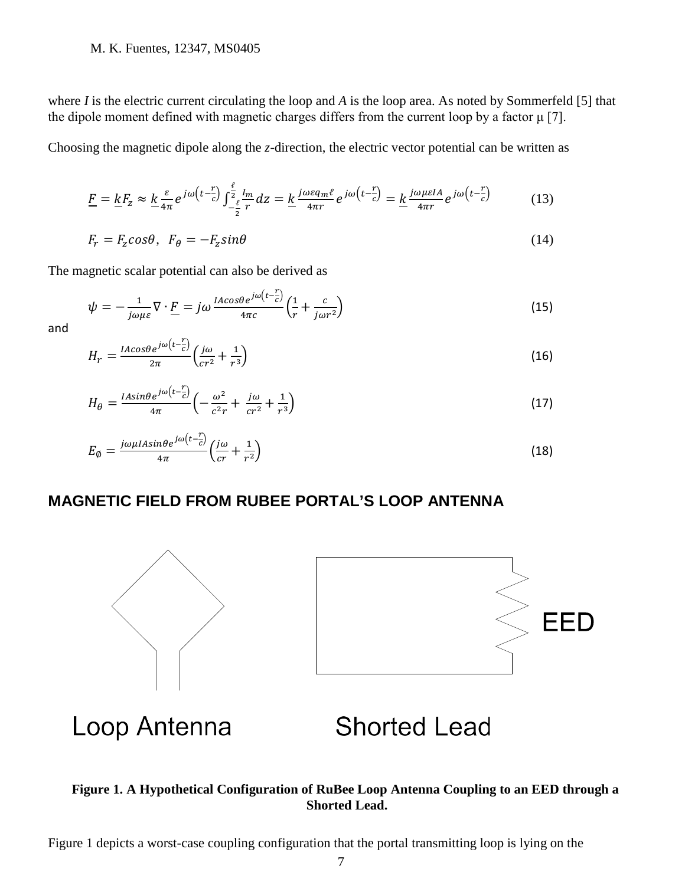where *I* is the electric current circulating the loop and *A* is the loop area. As noted by Sommerfeld [5] that the dipole moment defined with magnetic charges differs from the current loop by a factor μ [7].

Choosing the magnetic dipole along the *z*-direction, the electric vector potential can be written as

$$
\underline{F} = \underline{k}F_z \approx \underline{k}\frac{\varepsilon}{4\pi}e^{j\omega\left(t-\frac{r}{c}\right)}\int_{-\frac{\ell}{2}}^{\frac{\ell}{2}}\frac{l_m}{r}dz = \underline{k}\frac{j\omega\varepsilon q_m\ell}{4\pi r}e^{j\omega\left(t-\frac{r}{c}\right)} = \underline{k}\frac{j\omega\mu\varepsilon l_A}{4\pi r}e^{j\omega\left(t-\frac{r}{c}\right)}\tag{13}
$$

$$
F_r = F_z \cos \theta, \ \ F_\theta = -F_z \sin \theta \tag{14}
$$

The magnetic scalar potential can also be derived as

$$
\psi = -\frac{1}{j\omega\mu\varepsilon}\nabla \cdot \underline{F} = j\omega \frac{IACos\theta e^{j\omega\left(t - \frac{r}{c}\right)}}{4\pi c} \left(\frac{1}{r} + \frac{c}{j\omega r^2}\right)
$$
(15)

and

$$
H_r = \frac{IACos\theta e^{j\omega\left(t - \frac{r}{c}\right)}}{2\pi} \left(\frac{j\omega}{cr^2} + \frac{1}{r^3}\right)
$$
(16)

$$
H_{\theta} = \frac{I A sin \theta e^{j\omega \left(t - \frac{r}{c}\right)}}{4\pi} \left(-\frac{\omega^2}{c^2 r} + \frac{j\omega}{cr^2} + \frac{1}{r^3}\right) \tag{17}
$$

$$
E_{\emptyset} = \frac{j\omega\mu I A sin\theta e^{j\omega\left(t - \frac{r}{C}\right)}}{4\pi} \left(\frac{j\omega}{cr} + \frac{1}{r^2}\right)
$$
(18)

## **MAGNETIC FIELD FROM RUBEE PORTAL'S LOOP ANTENNA**



#### **Figure 1. A Hypothetical Configuration of RuBee Loop Antenna Coupling to an EED through a Shorted Lead.**

Figure 1 depicts a worst-case coupling configuration that the portal transmitting loop is lying on the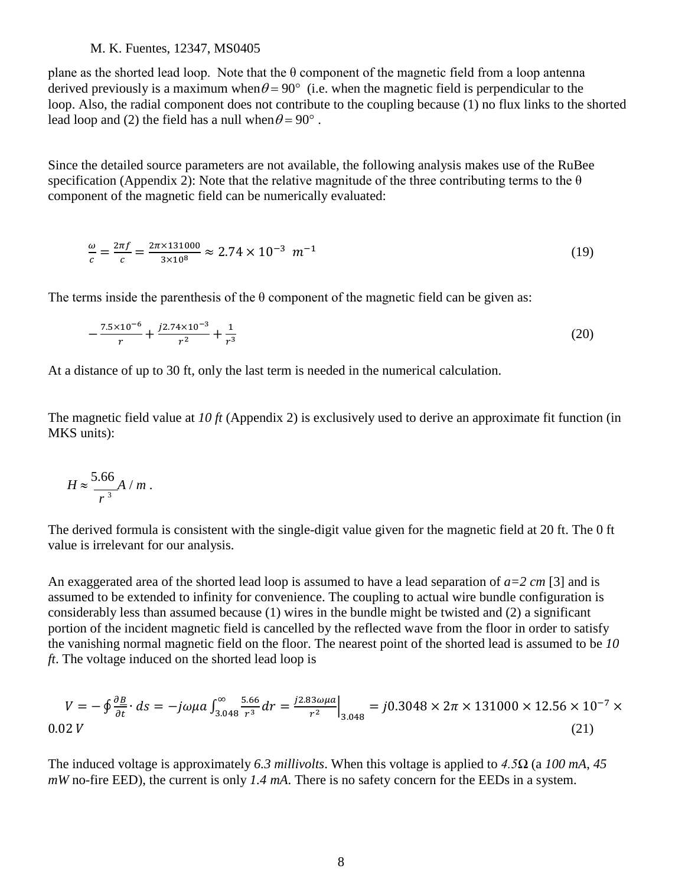plane as the shorted lead loop. Note that the  $\theta$  component of the magnetic field from a loop antenna derived previously is a maximum when  $\theta = 90^{\circ}$  (i.e. when the magnetic field is perpendicular to the loop. Also, the radial component does not contribute to the coupling because (1) no flux links to the shorted lead loop and (2) the field has a null when  $\theta = 90^{\circ}$ .

Since the detailed source parameters are not available, the following analysis makes use of the RuBee specification (Appendix 2): Note that the relative magnitude of the three contributing terms to the  $\theta$ component of the magnetic field can be numerically evaluated:

$$
\frac{\omega}{c} = \frac{2\pi f}{c} = \frac{2\pi \times 131000}{3 \times 10^8} \approx 2.74 \times 10^{-3} \text{ m}^{-1}
$$
 (19)

The terms inside the parenthesis of the  $\theta$  component of the magnetic field can be given as:

$$
-\frac{7.5 \times 10^{-6}}{r} + \frac{j2.74 \times 10^{-3}}{r^2} + \frac{1}{r^3}
$$
 (20)

At a distance of up to 30 ft, only the last term is needed in the numerical calculation.

The magnetic field value at *10 ft* (Appendix 2) is exclusively used to derive an approximate fit function (in MKS units):

$$
H \approx \frac{5.66}{r^3} A / m.
$$

The derived formula is consistent with the single-digit value given for the magnetic field at 20 ft. The 0 ft value is irrelevant for our analysis.

An exaggerated area of the shorted lead loop is assumed to have a lead separation of *a=2 cm* [3] and is assumed to be extended to infinity for convenience. The coupling to actual wire bundle configuration is considerably less than assumed because (1) wires in the bundle might be twisted and (2) a significant portion of the incident magnetic field is cancelled by the reflected wave from the floor in order to satisfy the vanishing normal magnetic field on the floor. The nearest point of the shorted lead is assumed to be *10 ft*. The voltage induced on the shorted lead loop is

$$
V = -\oint \frac{\partial B}{\partial t} \cdot ds = -j\omega\mu a \int_{3.048}^{\infty} \frac{5.66}{r^3} dr = \frac{j2.83\omega\mu a}{r^2} \Big|_{3.048} = j0.3048 \times 2\pi \times 131000 \times 12.56 \times 10^{-7} \times (21)
$$

The induced voltage is approximately *6.3 millivolts*. When this voltage is applied to *4.5Ω* (a *100 mA*, *45 mW* no-fire EED), the current is only *1.4 mA*. There is no safety concern for the EEDs in a system.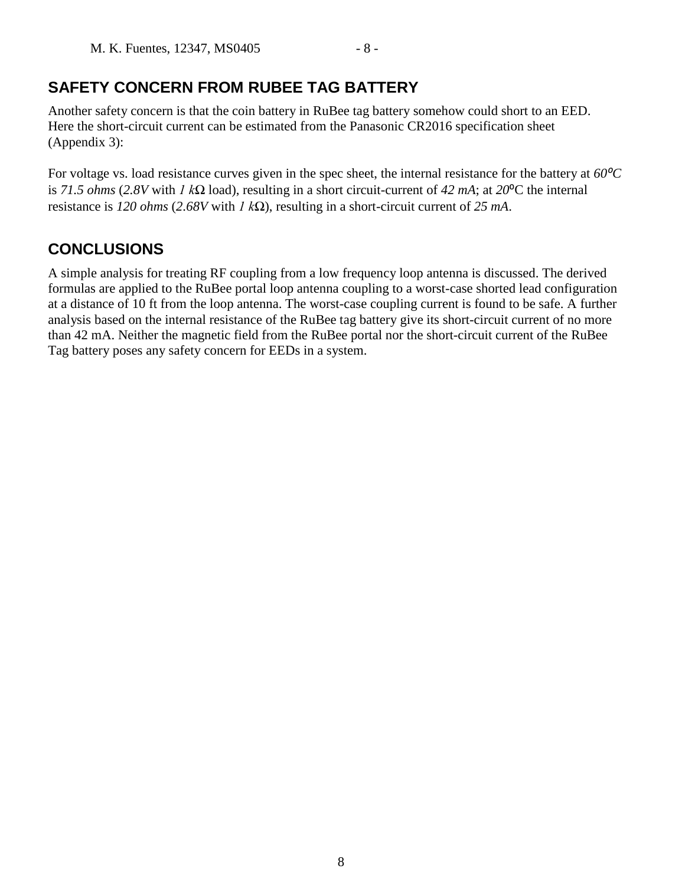# **SAFETY CONCERN FROM RUBEE TAG BATTERY**

Another safety concern is that the coin battery in RuBee tag battery somehow could short to an EED. Here the short-circuit current can be estimated from the Panasonic CR2016 specification sheet (Appendix 3):

For voltage vs. load resistance curves given in the spec sheet, the internal resistance for the battery at  $60^{\circ}C$ is *71.5 ohms* (2.8V with *1 kΩ* load), resulting in a short circuit-current of 42 mA; at 20<sup>o</sup>C the internal resistance is *120 ohms* (*2.68V* with *1 kΩ*), resulting in a short-circuit current of *25 mA*.

# **CONCLUSIONS**

A simple analysis for treating RF coupling from a low frequency loop antenna is discussed. The derived formulas are applied to the RuBee portal loop antenna coupling to a worst-case shorted lead configuration at a distance of 10 ft from the loop antenna. The worst-case coupling current is found to be safe. A further analysis based on the internal resistance of the RuBee tag battery give its short-circuit current of no more than 42 mA. Neither the magnetic field from the RuBee portal nor the short-circuit current of the RuBee Tag battery poses any safety concern for EEDs in a system.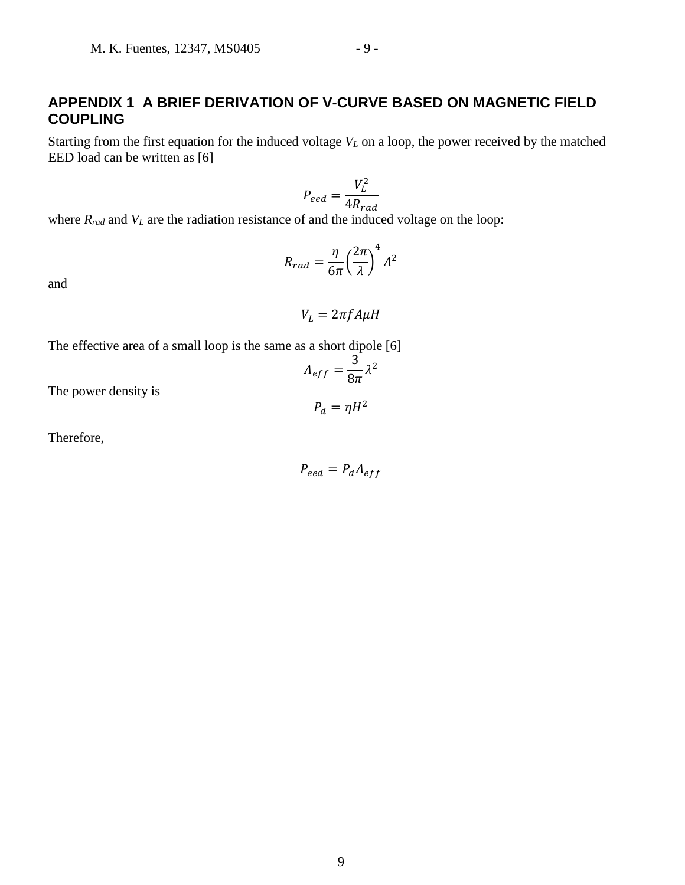### **APPENDIX 1 A BRIEF DERIVATION OF V-CURVE BASED ON MAGNETIC FIELD COUPLING**

Starting from the first equation for the induced voltage  $V<sub>L</sub>$  on a loop, the power received by the matched EED load can be written as [6]

$$
P_{eed} = \frac{V_L^2}{4R_{rad}}
$$

where  $R_{rad}$  and  $V_L$  are the radiation resistance of and the induced voltage on the loop:

$$
R_{rad} = \frac{\eta}{6\pi} \left(\frac{2\pi}{\lambda}\right)^4 A^2
$$

and

$$
V_L = 2\pi f A \mu H
$$

The effective area of a small loop is the same as a short dipole [6]

$$
A_{eff} = \frac{3}{8\pi} \lambda^2
$$

 $P_d = \eta H^2$ 

The power density is

Therefore,

$$
P_{eed} = P_d A_{eff}
$$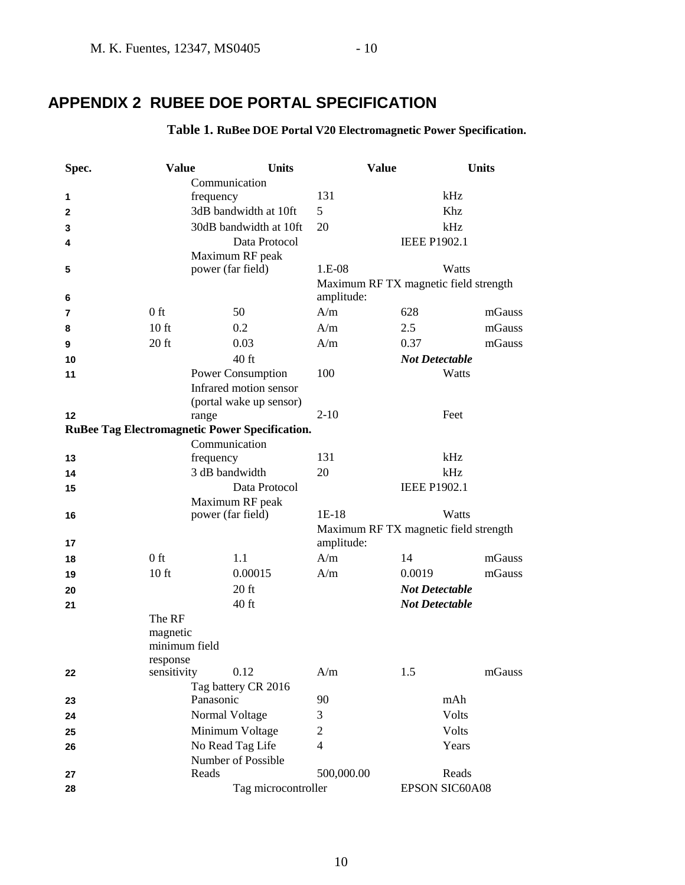# **APPENDIX 2 RUBEE DOE PORTAL SPECIFICATION**

#### **Table 1. RuBee DOE Portal V20 Electromagnetic Power Specification.**

| Spec. | <b>Value</b>              |                                                                                | <b>Units</b>                                   | <b>Value</b>   |                                       | <b>Units</b> |  |
|-------|---------------------------|--------------------------------------------------------------------------------|------------------------------------------------|----------------|---------------------------------------|--------------|--|
|       |                           | Communication                                                                  |                                                |                |                                       |              |  |
| 1     |                           | frequency                                                                      |                                                | 131            |                                       | kHz          |  |
| 2     |                           | 3dB bandwidth at 10ft                                                          |                                                | 5              | Khz                                   |              |  |
| 3     |                           |                                                                                | 30dB bandwidth at 10ft                         | 20             | kHz                                   |              |  |
| 4     |                           |                                                                                | Data Protocol                                  |                | <b>IEEE P1902.1</b>                   |              |  |
|       |                           | Maximum RF peak                                                                |                                                |                |                                       |              |  |
| 5     |                           | power (far field)                                                              |                                                | 1.E-08         | Watts                                 |              |  |
|       |                           |                                                                                |                                                |                | Maximum RF TX magnetic field strength |              |  |
| 6     |                           |                                                                                |                                                | amplitude:     |                                       |              |  |
| 7     | $0$ ft                    | 50                                                                             |                                                | A/m            | 628                                   | mGauss       |  |
| 8     | 10 <sub>ft</sub>          | 0.2                                                                            |                                                | A/m            | 2.5                                   | mGauss       |  |
| 9     | $20$ ft                   | 0.03                                                                           |                                                | A/m            | 0.37                                  | mGauss       |  |
| 10    |                           | $40$ ft                                                                        |                                                |                | <b>Not Detectable</b>                 |              |  |
| 11    |                           | <b>Power Consumption</b>                                                       |                                                | 100            | Watts                                 |              |  |
|       |                           | Infrared motion sensor                                                         |                                                |                |                                       |              |  |
|       |                           |                                                                                | (portal wake up sensor)                        |                |                                       |              |  |
| 12    |                           | range                                                                          |                                                | $2-10$         | Feet                                  |              |  |
|       |                           |                                                                                | RuBee Tag Electromagnetic Power Specification. |                |                                       |              |  |
|       |                           | Communication                                                                  |                                                |                |                                       |              |  |
| 13    |                           | frequency                                                                      |                                                | 131            | kHz                                   |              |  |
| 14    |                           | 3 dB bandwidth                                                                 |                                                | 20             | kHz                                   |              |  |
| 15    |                           |                                                                                | Data Protocol                                  |                | <b>IEEE P1902.1</b>                   |              |  |
|       |                           | Maximum RF peak                                                                |                                                |                |                                       |              |  |
| 16    |                           | $1E-18$<br>Watts<br>power (far field)<br>Maximum RF TX magnetic field strength |                                                |                |                                       |              |  |
|       |                           |                                                                                |                                                |                |                                       |              |  |
| 17    |                           |                                                                                |                                                | amplitude:     |                                       |              |  |
| 18    | $0$ ft                    | 1.1                                                                            |                                                | A/m            | 14                                    | mGauss       |  |
| 19    | 10 <sub>ft</sub>          |                                                                                | 0.00015                                        | A/m            | 0.0019                                | mGauss       |  |
| 20    |                           | $20$ ft                                                                        |                                                |                | <b>Not Detectable</b>                 |              |  |
| 21    |                           | 40 ft                                                                          |                                                |                | <b>Not Detectable</b>                 |              |  |
|       | The RF                    |                                                                                |                                                |                |                                       |              |  |
|       | magnetic<br>minimum field |                                                                                |                                                |                |                                       |              |  |
|       |                           |                                                                                |                                                |                |                                       |              |  |
| 22    | response<br>sensitivity   | 0.12                                                                           |                                                | A/m            | 1.5                                   | mGauss       |  |
|       |                           | Tag battery CR 2016                                                            |                                                |                |                                       |              |  |
| 23    |                           | Panasonic                                                                      |                                                | 90             | mAh                                   |              |  |
| 24    | Normal Voltage            |                                                                                | 3                                              | Volts          |                                       |              |  |
| 25    |                           | Minimum Voltage                                                                |                                                | $\mathfrak{2}$ | Volts                                 |              |  |
| 26    |                           | No Read Tag Life                                                               |                                                | $\overline{4}$ | Years                                 |              |  |
|       |                           | Number of Possible                                                             |                                                |                |                                       |              |  |
| 27    |                           | Reads                                                                          |                                                | 500,000.00     | Reads                                 |              |  |
| 28    |                           | Tag microcontroller                                                            |                                                |                | EPSON SIC60A08                        |              |  |
|       |                           |                                                                                |                                                |                |                                       |              |  |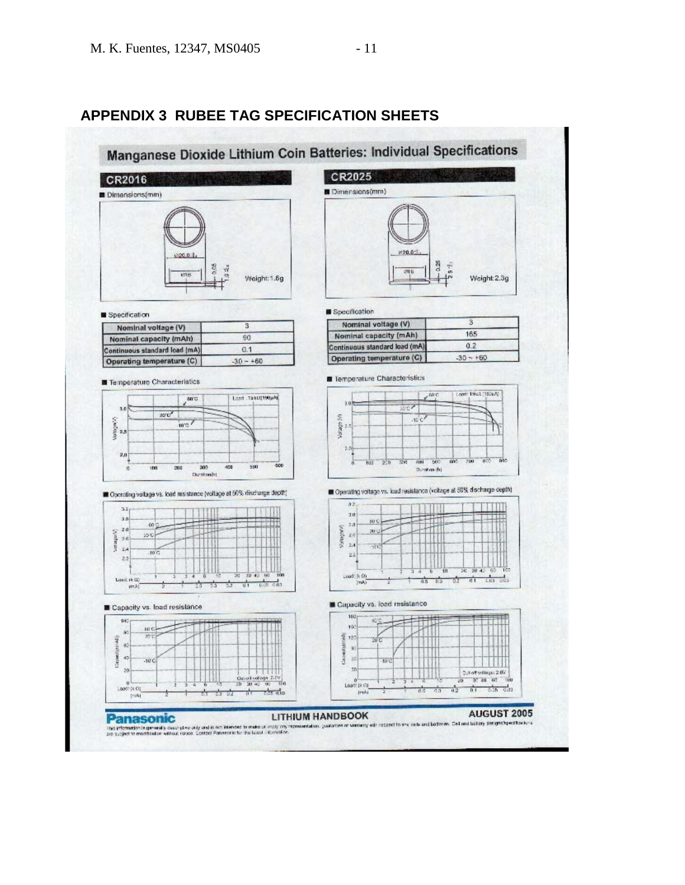

## **APPENDIX 3 RUBEE TAG SPECIFICATION SHEETS**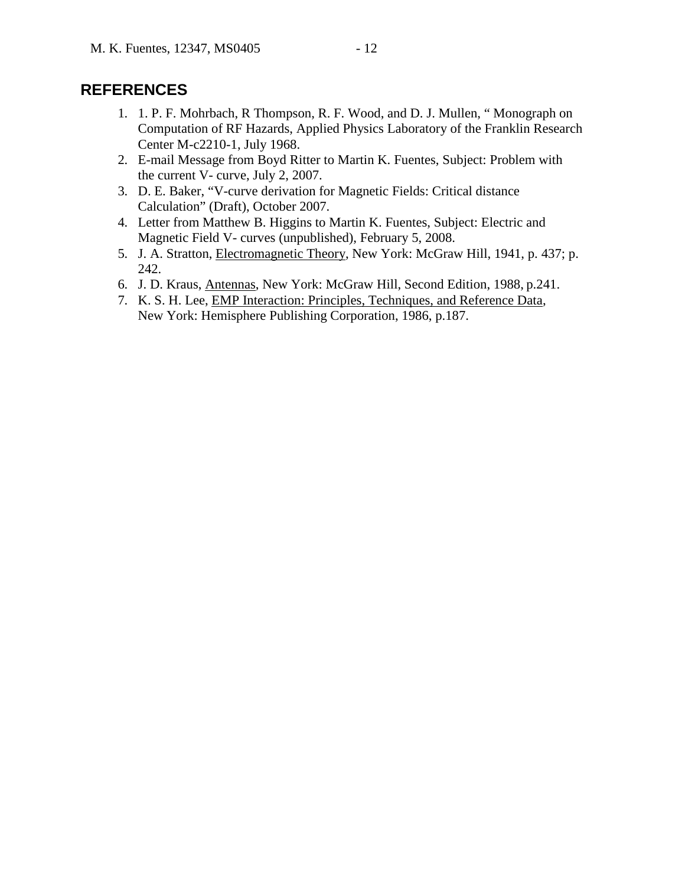### **REFERENCES**

- 1. 1. P. F. Mohrbach, R Thompson, R. F. Wood, and D. J. Mullen, " Monograph on Computation of RF Hazards, Applied Physics Laboratory of the Franklin Research Center M-c2210-1, July 1968.
- 2. E-mail Message from Boyd Ritter to Martin K. Fuentes, Subject: Problem with the current V- curve, July 2, 2007.
- 3. D. E. Baker, "V-curve derivation for Magnetic Fields: Critical distance Calculation" (Draft), October 2007.
- 4. Letter from Matthew B. Higgins to Martin K. Fuentes, Subject: Electric and Magnetic Field V- curves (unpublished), February 5, 2008.
- 5. J. A. Stratton, Electromagnetic Theory, New York: McGraw Hill, 1941, p. 437; p. 242.
- 6. J. D. Kraus, Antennas, New York: McGraw Hill, Second Edition, 1988, p.241.
- 7. K. S. H. Lee, EMP Interaction: Principles, Techniques, and Reference Data, New York: Hemisphere Publishing Corporation, 1986, p.187.